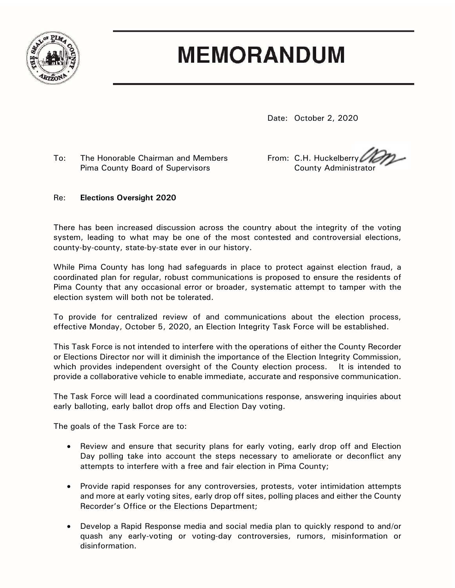

## **MEMORANDUM**

Date: October 2, 2020

To: The Honorable Chairman and Members From: C.H. Huckelberry Pima County Board of Supervisors **County Administrator** County Administrator

## Re: **Elections Oversight 2020**

There has been increased discussion across the country about the integrity of the voting system, leading to what may be one of the most contested and controversial elections, county-by-county, state-by-state ever in our history.

While Pima County has long had safeguards in place to protect against election fraud, a coordinated plan for regular, robust communications is proposed to ensure the residents of Pima County that any occasional error or broader, systematic attempt to tamper with the election system will both not be tolerated.

To provide for centralized review of and communications about the election process, effective Monday, October 5, 2020, an Election Integrity Task Force will be established.

This Task Force is not intended to interfere with the operations of either the County Recorder or Elections Director nor will it diminish the importance of the Election Integrity Commission, which provides independent oversight of the County election process. It is intended to provide a collaborative vehicle to enable immediate, accurate and responsive communication.

The Task Force will lead a coordinated communications response, answering inquiries about early balloting, early ballot drop offs and Election Day voting.

The goals of the Task Force are to:

- Review and ensure that security plans for early voting, early drop off and Election Day polling take into account the steps necessary to ameliorate or deconflict any attempts to interfere with a free and fair election in Pima County;
- Provide rapid responses for any controversies, protests, voter intimidation attempts and more at early voting sites, early drop off sites, polling places and either the County Recorder's Office or the Elections Department;
- Develop a Rapid Response media and social media plan to quickly respond to and/or quash any early-voting or voting-day controversies, rumors, misinformation or disinformation.